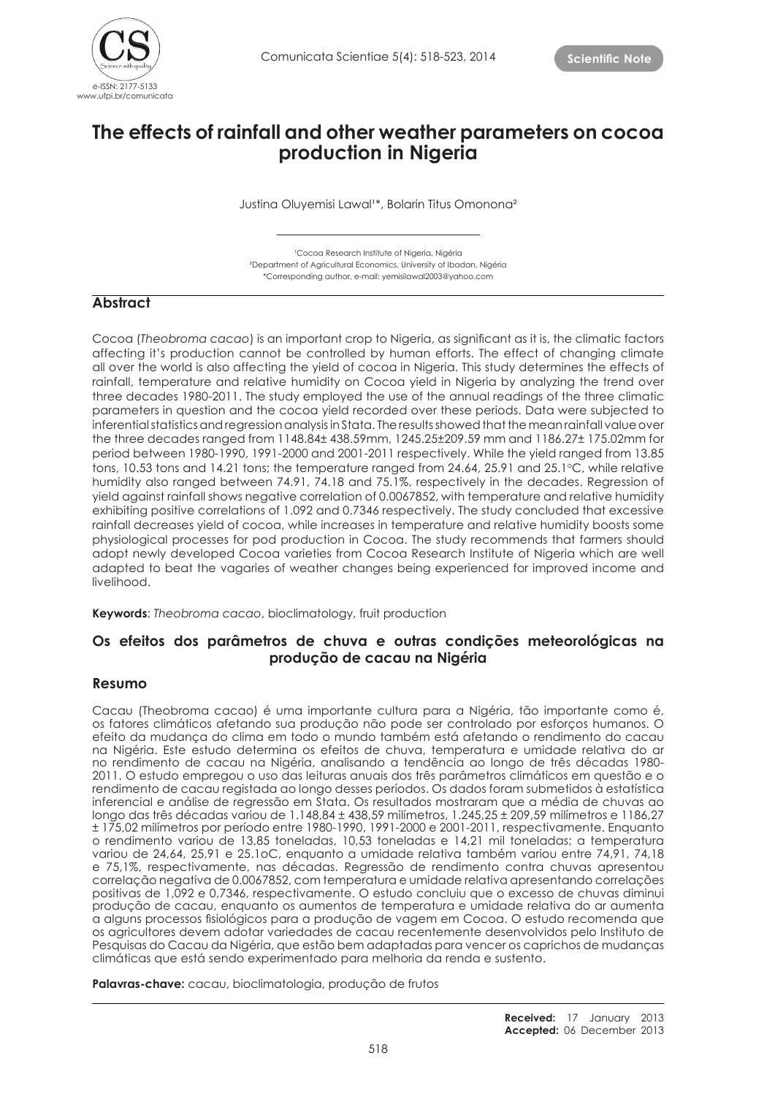

# **The effects of rainfall and other weather parameters on cocoa production in Nigeria**

Justina Oluyemisi Lawal<sup>1\*</sup>, Bolarin Titus Omonona<sup>2</sup>

<sup>1</sup>Cocoa Research Institute of Nigeria, Nigéria ²Department of Agricultural Economics, University of Ibadan, Nigéria \*Corresponding author, e-mail: yemisilawal2003@yahoo.com

# **Abstract**

Cocoa (*Theobroma cacao*) is an important crop to Nigeria, as significant as it is, the climatic factors affecting it's production cannot be controlled by human efforts. The effect of changing climate all over the world is also affecting the yield of cocoa in Nigeria. This study determines the effects of rainfall, temperature and relative humidity on Cocoa yield in Nigeria by analyzing the trend over three decades 1980-2011. The study employed the use of the annual readings of the three climatic parameters in question and the cocoa yield recorded over these periods. Data were subjected to inferential statistics and regression analysis in Stata. The results showed that the mean rainfall value over the three decades ranged from 1148.84± 438.59mm, 1245.25±209.59 mm and 1186.27± 175.02mm for period between 1980-1990, 1991-2000 and 2001-2011 respectively. While the yield ranged from 13.85 tons, 10.53 tons and 14.21 tons; the temperature ranged from 24.64, 25.91 and 25.1°C, while relative humidity also ranged between 74.91, 74.18 and 75.1%, respectively in the decades. Regression of yield against rainfall shows negative correlation of 0.0067852, with temperature and relative humidity exhibiting positive correlations of 1.092 and 0.7346 respectively. The study concluded that excessive rainfall decreases yield of cocoa, while increases in temperature and relative humidity boosts some physiological processes for pod production in Cocoa. The study recommends that farmers should adopt newly developed Cocoa varieties from Cocoa Research Institute of Nigeria which are well adapted to beat the vagaries of weather changes being experienced for improved income and livelihood.

**Keywords**: *Theobroma cacao*, bioclimatology, fruit production

# **Os efeitos dos parâmetros de chuva e outras condições meteorológicas na produção de cacau na Nigéria**

## **Resumo**

Cacau (Theobroma cacao) é uma importante cultura para a Nigéria, tão importante como é, os fatores climáticos afetando sua produção não pode ser controlado por esforços humanos. O efeito da mudança do clima em todo o mundo também está afetando o rendimento do cacau na Nigéria. Este estudo determina os efeitos de chuva, temperatura e umidade relativa do ar no rendimento de cacau na Nigéria, analisando a tendência ao longo de três décadas 1980- 2011. O estudo empregou o uso das leituras anuais dos três parâmetros climáticos em questão e o rendimento de cacau registada ao longo desses períodos. Os dados foram submetidos à estatística inferencial e análise de regressão em Stata. Os resultados mostraram que a média de chuvas ao longo das três décadas variou de 1.148,84 ± 438,59 milímetros, 1.245,25 ± 209,59 milímetros e 1186,27 ± 175,02 milímetros por período entre 1980-1990, 1991-2000 e 2001-2011, respectivamente. Enquanto o rendimento variou de 13,85 toneladas, 10,53 toneladas e 14,21 mil toneladas; a temperatura variou de 24,64, 25,91 e 25.1oC, enquanto a umidade relativa também variou entre 74,91, 74,18 e 75,1%, respectivamente, nas décadas. Regressão de rendimento contra chuvas apresentou correlação negativa de 0.0067852, com temperatura e umidade relativa apresentando correlações positivas de 1,092 e 0,7346, respectivamente. O estudo concluiu que o excesso de chuvas diminui produção de cacau, enquanto os aumentos de temperatura e umidade relativa do ar aumenta a alguns processos fisiológicos para a produção de vagem em Cocoa. O estudo recomenda que os agricultores devem adotar variedades de cacau recentemente desenvolvidos pelo Instituto de Pesquisas do Cacau da Nigéria, que estão bem adaptadas para vencer os caprichos de mudanças climáticas que está sendo experimentado para melhoria da renda e sustento.

**Palavras-chave:** cacau, bioclimatologia, produção de frutos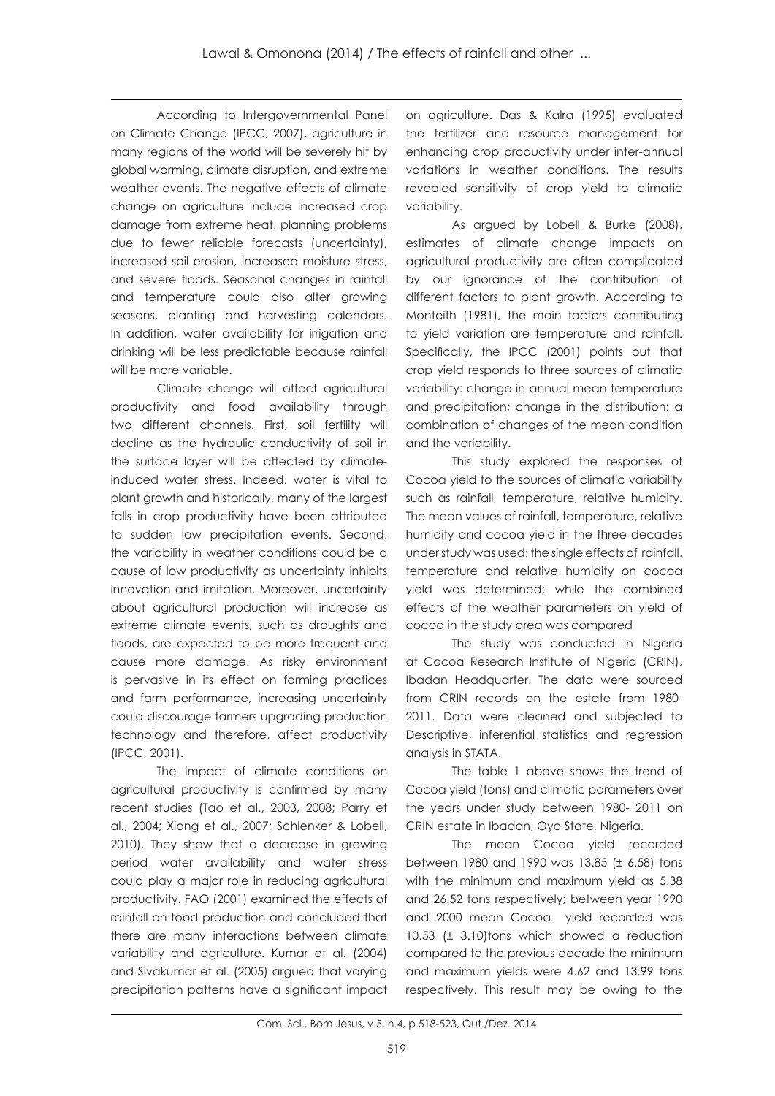According to Intergovernmental Panel on Climate Change (IPCC, 2007), agriculture in many regions of the world will be severely hit by global warming, climate disruption, and extreme weather events. The negative effects of climate change on agriculture include increased crop damage from extreme heat, planning problems due to fewer reliable forecasts (uncertainty), increased soil erosion, increased moisture stress, and severe floods. Seasonal changes in rainfall and temperature could also alter growing seasons, planting and harvesting calendars. In addition, water availability for irrigation and drinking will be less predictable because rainfall will be more variable.

Climate change will affect agricultural productivity and food availability through two different channels. First, soil fertility will decline as the hydraulic conductivity of soil in the surface layer will be affected by climateinduced water stress. Indeed, water is vital to plant growth and historically, many of the largest falls in crop productivity have been attributed to sudden low precipitation events. Second, the variability in weather conditions could be a cause of low productivity as uncertainty inhibits innovation and imitation. Moreover, uncertainty about agricultural production will increase as extreme climate events, such as droughts and floods, are expected to be more frequent and cause more damage. As risky environment is pervasive in its effect on farming practices and farm performance, increasing uncertainty could discourage farmers upgrading production technology and therefore, affect productivity (IPCC, 2001).

The impact of climate conditions on agricultural productivity is confirmed by many recent studies (Tao et al., 2003, 2008; Parry et al., 2004; Xiong et al., 2007; Schlenker & Lobell, 2010). They show that a decrease in growing period water availability and water stress could play a major role in reducing agricultural productivity. FAO (2001) examined the effects of rainfall on food production and concluded that there are many interactions between climate variability and agriculture. Kumar et al. (2004) and Sivakumar et al. (2005) argued that varying precipitation patterns have a significant impact

on agriculture. Das & Kalra (1995) evaluated the fertilizer and resource management for enhancing crop productivity under inter-annual variations in weather conditions. The results revealed sensitivity of crop yield to climatic variability.

As argued by Lobell & Burke (2008), estimates of climate change impacts on agricultural productivity are often complicated by our ignorance of the contribution of different factors to plant growth. According to Monteith (1981), the main factors contributing to yield variation are temperature and rainfall. Specifically, the IPCC (2001) points out that crop yield responds to three sources of climatic variability: change in annual mean temperature and precipitation; change in the distribution; a combination of changes of the mean condition and the variability.

This study explored the responses of Cocoa yield to the sources of climatic variability such as rainfall, temperature, relative humidity. The mean values of rainfall, temperature, relative humidity and cocoa yield in the three decades under study was used; the single effects of rainfall, temperature and relative humidity on cocoa yield was determined; while the combined effects of the weather parameters on yield of cocoa in the study area was compared

The study was conducted in Nigeria at Cocoa Research Institute of Nigeria (CRIN), Ibadan Headquarter. The data were sourced from CRIN records on the estate from 1980- 2011. Data were cleaned and subjected to Descriptive, inferential statistics and regression analysis in STATA.

The table 1 above shows the trend of Cocoa yield (tons) and climatic parameters over the years under study between 1980- 2011 on CRIN estate in Ibadan, Oyo State, Nigeria.

The mean Cocoa yield recorded between 1980 and 1990 was 13.85 (± 6.58) tons with the minimum and maximum yield as 5.38 and 26.52 tons respectively; between year 1990 and 2000 mean Cocoa yield recorded was 10.53 (± 3.10)tons which showed a reduction compared to the previous decade the minimum and maximum yields were 4.62 and 13.99 tons respectively. This result may be owing to the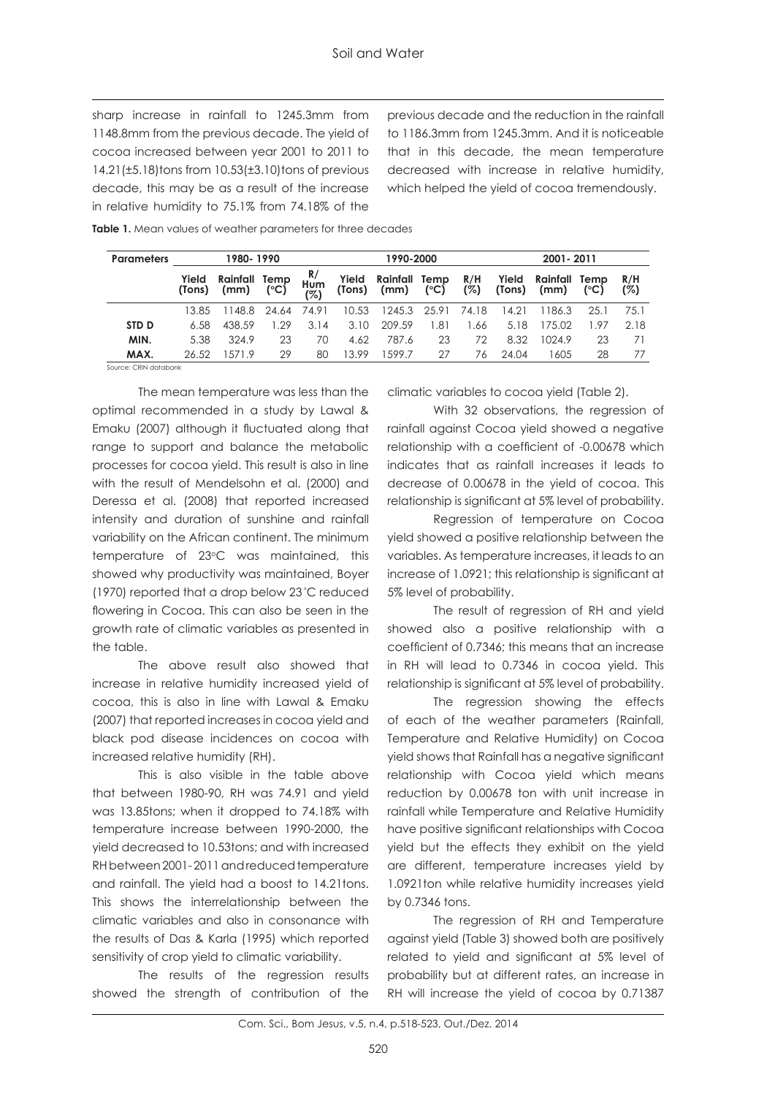sharp increase in rainfall to 1245.3mm from 1148.8mm from the previous decade. The yield of cocoa increased between year 2001 to 2011 to 14.21(±5.18)tons from 10.53(±3.10)tons of previous decade, this may be as a result of the increase in relative humidity to 75.1% from 74.18% of the previous decade and the reduction in the rainfall to 1186.3mm from 1245.3mm. And it is noticeable that in this decade, the mean temperature decreased with increase in relative humidity, which helped the yield of cocoa tremendously.

| 1980-1990<br><b>Parameters</b> |                  |                       |                  | 1990-2000       |        |               |               | 2001-2011       |                  |              |            |
|--------------------------------|------------------|-----------------------|------------------|-----------------|--------|---------------|---------------|-----------------|------------------|--------------|------------|
| Yield<br>(Tons)                | Rainfall<br>(mm) | Temp<br>$(^{\circ}C)$ | R/<br>Hum<br>(%) | Yield<br>(Tons) | (mm)   | $(^{\circ}C)$ | R/H<br>(%)    | Yield<br>(Tons) | Rainfall<br>(mm) | Temp<br>(°C) | R/H<br>(%) |
| 13.85                          | 1148.8           | 24.64                 | 74.91            | 10.53           |        | 25.91         | 74.18         | 14.21           | 1186.3           | 25.1         | 75.1       |
| 6.58                           | 438.59           | .29                   | 3.14             | 3.10            | 209.59 | 1.81          | 1.66          | 5.18            | 175.02           | 1.97         | 2.18       |
| 5.38                           | 324.9            | 23                    | 70               | 4.62            | 787.6  | 23            | 72            | 8.32            | 1024.9           | 23           | 71         |
| 26.52                          | 1571.9           | 29                    | 80               | 13.99           | 599.7  | 27            | 76            | 24.04           | 1605             | 28           | 77         |
|                                |                  |                       |                  |                 |        | 1245.3        | Rainfall Temp |                 |                  |              |            |

**Table 1.** Mean values of weather parameters for three decades

Source: CRIN databank

The mean temperature was less than the optimal recommended in a study by Lawal & Emaku (2007) although it fluctuated along that range to support and balance the metabolic processes for cocoa yield. This result is also in line with the result of Mendelsohn et al. (2000) and Deressa et al. (2008) that reported increased intensity and duration of sunshine and rainfall variability on the African continent. The minimum temperature of 23°C was maintained, this showed why productivity was maintained, Boyer (1970) reported that a drop below 23 °C reduced flowering in Cocoa. This can also be seen in the growth rate of climatic variables as presented in the table.

The above result also showed that increase in relative humidity increased yield of cocoa, this is also in line with Lawal & Emaku (2007) that reported increases in cocoa yield and black pod disease incidences on cocoa with increased relative humidity (RH).

This is also visible in the table above that between 1980-90, RH was 74.91 and yield was 13.85tons; when it dropped to 74.18% with temperature increase between 1990-2000, the yield decreased to 10.53tons; and with increased RH between 2001- 2011 and reduced temperature and rainfall. The yield had a boost to 14.21tons. This shows the interrelationship between the climatic variables and also in consonance with the results of Das & Karla (1995) which reported sensitivity of crop yield to climatic variability.

The results of the regression results showed the strength of contribution of the

climatic variables to cocoa yield (Table 2).

With 32 observations, the regression of rainfall against Cocoa yield showed a negative relationship with a coefficient of -0.00678 which indicates that as rainfall increases it leads to decrease of 0.00678 in the yield of cocoa. This relationship is significant at 5% level of probability.

Regression of temperature on Cocoa yield showed a positive relationship between the variables. As temperature increases, it leads to an increase of 1.0921; this relationship is significant at 5% level of probability.

The result of regression of RH and yield showed also a positive relationship with a coefficient of 0.7346; this means that an increase in RH will lead to 0.7346 in cocoa yield. This relationship is significant at 5% level of probability.

The regression showing the effects of each of the weather parameters (Rainfall, Temperature and Relative Humidity) on Cocoa yield shows that Rainfall has a negative significant relationship with Cocoa yield which means reduction by 0.00678 ton with unit increase in rainfall while Temperature and Relative Humidity have positive significant relationships with Cocoa yield but the effects they exhibit on the yield are different, temperature increases yield by 1.0921ton while relative humidity increases yield by 0.7346 tons.

The regression of RH and Temperature against yield (Table 3) showed both are positively related to yield and significant at 5% level of probability but at different rates, an increase in RH will increase the yield of cocoa by 0.71387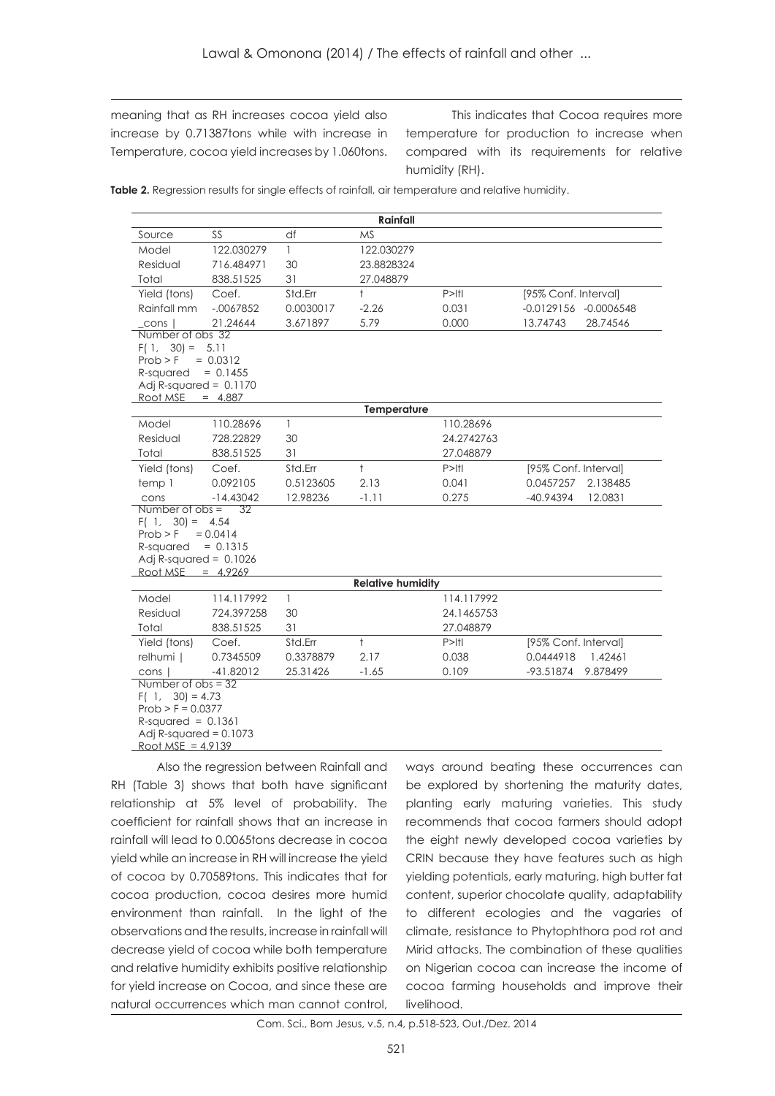meaning that as RH increases cocoa yield also increase by 0.71387tons while with increase in Temperature, cocoa yield increases by 1.060tons.

This indicates that Cocoa requires more temperature for production to increase when compared with its requirements for relative humidity (RH).

Table 2. Regression results for single effects of rainfall, air temperature and relative humidity.

|                                                                                                                                                         |                                                                                                          |              | Rainfall                 |                       |                        |  |  |
|---------------------------------------------------------------------------------------------------------------------------------------------------------|----------------------------------------------------------------------------------------------------------|--------------|--------------------------|-----------------------|------------------------|--|--|
| Source                                                                                                                                                  | SS                                                                                                       | df           | <b>MS</b>                |                       |                        |  |  |
| Model                                                                                                                                                   | 122.030279                                                                                               | $\mathbf{1}$ | 122.030279               |                       |                        |  |  |
| Residual                                                                                                                                                | 716.484971                                                                                               | 30           | 23.8828324               |                       |                        |  |  |
| Total                                                                                                                                                   | 838.51525                                                                                                | 31           | 27.048879                |                       |                        |  |  |
| Yield (tons)                                                                                                                                            | Coef.                                                                                                    | Std.Err      | $\ddagger$               | $P>$   $\uparrow$     | [95% Conf. Interval]   |  |  |
| Rainfall mm                                                                                                                                             | $-0.067852$                                                                                              | 0.0030017    | $-2.26$                  | -0.0129156 -0.0006548 |                        |  |  |
| cons I                                                                                                                                                  | 21.24644                                                                                                 | 3.671897     | 5.79                     | 0.000                 | 13.74743<br>28.74546   |  |  |
| Number of obs 32<br>$F(1, 30) = 5.11$<br>Prob > F<br>$= 0.0312$<br>$= 0.1455$<br>R-squared<br>Adj R-squared = $0.1170$                                  |                                                                                                          |              |                          |                       |                        |  |  |
| Root MSE $= 4.887$                                                                                                                                      |                                                                                                          |              | Temperature              |                       |                        |  |  |
| Model                                                                                                                                                   | 110.28696                                                                                                | $\mathbf{1}$ |                          | 110.28696             |                        |  |  |
| Residual                                                                                                                                                | 728.22829                                                                                                | 30           |                          | 24.2742763            |                        |  |  |
| Total                                                                                                                                                   | 838.51525                                                                                                | 31           |                          | 27.048879             |                        |  |  |
| Yield (tons)                                                                                                                                            | Coef.                                                                                                    | Std.Err      | $\ddagger$               | $P>$   $\uparrow$     | [95% Conf. Interval]   |  |  |
| temp 1                                                                                                                                                  | 0.092105                                                                                                 | 0.5123605    | 2.13                     | 0.041                 | 0.0457257<br>2.138485  |  |  |
| cons                                                                                                                                                    | $-14.43042$                                                                                              | 12.98236     | $-1.11$                  | 0.275                 | $-40.94394$<br>12.0831 |  |  |
| Number of $obs =$<br>32<br>$F(1, 30) = 4.54$<br>Prob > F<br>$= 0.0414$<br>$= 0.1315$<br>R-squared<br>Adj R-squared = $0.1026$<br>Root MSE<br>$= 4.9269$ |                                                                                                          |              |                          |                       |                        |  |  |
|                                                                                                                                                         |                                                                                                          |              | <b>Relative humidity</b> |                       |                        |  |  |
| Model                                                                                                                                                   | 114.117992                                                                                               | $\mathbf{1}$ | 114.117992               |                       |                        |  |  |
| Residual                                                                                                                                                | 724.397258                                                                                               | 30           | 24.1465753               |                       |                        |  |  |
| Total                                                                                                                                                   | 838.51525                                                                                                | 31           |                          | 27.048879             |                        |  |  |
| Yield (tons)                                                                                                                                            | Coef.                                                                                                    | Std.Err      | $\ddagger$               | $P>$   $\uparrow$     | [95% Conf. Interval]   |  |  |
| relhumi                                                                                                                                                 | 0.7345509                                                                                                | 0.3378879    | 2.17                     | 0.038                 | 0.0444918<br>1.42461   |  |  |
|                                                                                                                                                         | $-41.82012$<br>25.31426<br>$-1.65$<br>0.109<br>$-93.51874$<br>9.878499<br>cons I<br>Number of $obs = 32$ |              |                          |                       |                        |  |  |
| $F(1, 30) = 4.73$<br>$Prob > F = 0.0377$<br>$R$ -squared = 0.1361<br>Adj R-squared = $0.1073$<br>Root MSE = $4.9139$                                    |                                                                                                          |              |                          |                       |                        |  |  |

Also the regression between Rainfall and RH (Table 3) shows that both have significant relationship at 5% level of probability. The coefficient for rainfall shows that an increase in rainfall will lead to 0.0065tons decrease in cocoa yield while an increase in RH will increase the yield of cocoa by 0.70589tons. This indicates that for cocoa production, cocoa desires more humid environment than rainfall. In the light of the observations and the results, increase in rainfall will decrease yield of cocoa while both temperature and relative humidity exhibits positive relationship for yield increase on Cocoa, and since these are natural occurrences which man cannot control,

ways around beating these occurrences can be explored by shortening the maturity dates, planting early maturing varieties. This study recommends that cocoa farmers should adopt the eight newly developed cocoa varieties by CRIN because they have features such as high yielding potentials, early maturing, high butter fat content, superior chocolate quality, adaptability to different ecologies and the vagaries of climate, resistance to Phytophthora pod rot and Mirid attacks. The combination of these qualities on Nigerian cocoa can increase the income of cocoa farming households and improve their livelihood.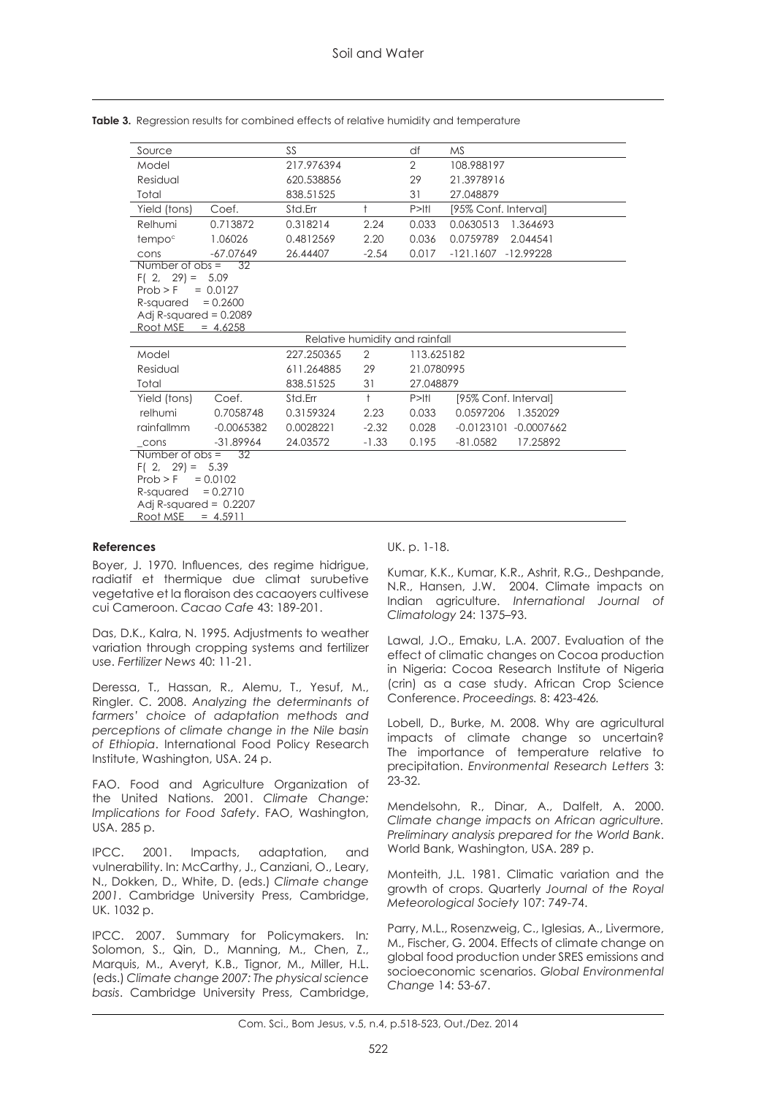| Source                                                                                                                                                              |                                             | SS         |                | df                | <b>MS</b>              |  |  |
|---------------------------------------------------------------------------------------------------------------------------------------------------------------------|---------------------------------------------|------------|----------------|-------------------|------------------------|--|--|
| Model                                                                                                                                                               |                                             | 217.976394 |                | $\overline{2}$    | 108.988197             |  |  |
| Residual                                                                                                                                                            |                                             | 620.538856 |                | 29                | 21.3978916             |  |  |
| Total                                                                                                                                                               |                                             | 838.51525  |                | 31                | 27.048879              |  |  |
| Yield (tons)                                                                                                                                                        | Coef.                                       | Std.Err    | $\ddagger$     | $P>$   $\uparrow$ | [95% Conf. Interval]   |  |  |
| Relhumi                                                                                                                                                             | 0.713872                                    | 0.318214   | 2.24           | 0.033             | 0.0630513<br>1.364693  |  |  |
| tempo <sup>c</sup>                                                                                                                                                  | 1.06026                                     | 0.4812569  | 2.20           | 0.036             | 0.0759789<br>2.044541  |  |  |
| cons                                                                                                                                                                | $-67.07649$                                 | 26.44407   | $-2.54$        | 0.017             | $-121.1607 -12.99228$  |  |  |
| Number of $obs =$<br>$F(2, 29) = 5.09$<br>Prob > F<br>R-squared<br>Adj R-squared = $0.2089$<br>Root MSE $= 4.6258$                                                  | $\overline{32}$<br>$= 0.0127$<br>$= 0.2600$ |            |                |                   |                        |  |  |
| Relative humidity and rainfall                                                                                                                                      |                                             |            |                |                   |                        |  |  |
| Model                                                                                                                                                               |                                             | 227.250365 | $\overline{2}$ | 113.625182        |                        |  |  |
| Residual                                                                                                                                                            |                                             | 611.264885 | 29             | 21.0780995        |                        |  |  |
| Total                                                                                                                                                               |                                             | 838.51525  | 31             | 27.048879         |                        |  |  |
| Yield (tons)                                                                                                                                                        | Coef.                                       | Std.Err    | $\ddagger$     | $P>$   $\uparrow$ | [95% Conf. Interval]   |  |  |
| relhumi                                                                                                                                                             | 0.7058748                                   | 0.3159324  | 2.23           | 0.033             | 0.0597206<br>1.352029  |  |  |
| rainfallmm                                                                                                                                                          | $-0.0065382$                                | 0.0028221  | $-2.32$        | 0.028             | -0.0123101 -0.0007662  |  |  |
| cons                                                                                                                                                                | $-31.89964$                                 | 24.03572   | $-1.33$        | 0.195             | $-81.0582$<br>17.25892 |  |  |
| $Number of obs =$<br>32<br>$F(2, 29) =$<br>5.39<br>Prob > F<br>$= 0.0102$<br>$= 0.2710$<br>R-squared<br>Adj R-squared = $0.2207$<br><u>Root MSE__</u><br>$= 4.5911$ |                                             |            |                |                   |                        |  |  |

**Table 3.** Regression results for combined effects of relative humidity and temperature

### **References**

Boyer, J. 1970. Influences, des regime hidrigue, radiatif et thermique due climat surubetive vegetative et la floraison des cacaoyers cultivese cui Cameroon. *Cacao Cafe* 43: 189-201.

Das, D.K., Kalra, N. 1995. Adjustments to weather variation through cropping systems and fertilizer use. *Fertilizer News* 40: 11-21.

Deressa, T., Hassan, R., Alemu, T., Yesuf, M., Ringler. C. 2008. *Analyzing the determinants of farmers' choice of adaptation methods and perceptions of climate change in the Nile basin of Ethiopia*. International Food Policy Research Institute, Washington, USA. 24 p.

FAO. Food and Agriculture Organization of the United Nations. 2001. *Climate Change: Implications for Food Safety*. FAO, Washington, USA. 285 p.

IPCC. 2001. Impacts, adaptation, and vulnerability. In: McCarthy, J., Canziani, O., Leary, N., Dokken, D., White, D. (eds.) *Climate change 2001*. Cambridge University Press, Cambridge, UK. 1032 p.

IPCC. 2007. Summary for Policymakers. In*:*  Solomon, S., Qin, D., Manning, M., Chen, Z., Marquis, M., Averyt, K.B., Tignor, M., Miller, H.L. (eds.) *Climate change 2007: The physical science basis*. Cambridge University Press, Cambridge,

### UK. p. 1-18.

Kumar, K.K., Kumar, K.R., Ashrit, R.G., Deshpande, N.R., Hansen, J.W. 2004. Climate impacts on Indian agriculture. *International Journal of Climatology* 24: 1375–93.

Lawal, J.O., Emaku, L.A. 2007. Evaluation of the effect of climatic changes on Cocoa production in Nigeria: Cocoa Research Institute of Nigeria (crin) as a case study. African Crop Science Conference. *Proceedings.* 8: 423-426*.*

Lobell, D., Burke, M. 2008. Why are agricultural impacts of climate change so uncertain? The importance of temperature relative to precipitation. *Environmental Research Letters* 3: 23-32.

Mendelsohn, R., Dinar, A., Dalfelt, A. 2000. *Climate change impacts on African agriculture. Preliminary analysis prepared for the World Bank*. World Bank, Washington, USA. 289 p.

Monteith, J.L. 1981. Climatic variation and the growth of crops. Quarterly *Journal of the Royal Meteorological Society* 107: 749-74.

Parry, M.L., Rosenzweig, C., Iglesias, A., Livermore, M., Fischer, G. 2004. Effects of climate change on global food production under SRES emissions and socioeconomic scenarios. *Global Environmental Change* 14: 53-67.